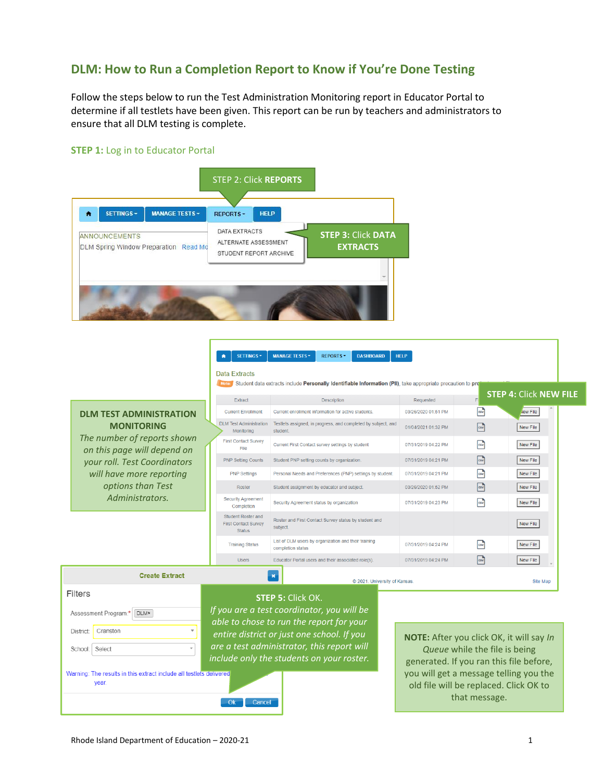## **DLM: How to Run a Completion Report to Know if You're Done Testing**

Follow the steps below to run the Test Administration Monitoring report in Educator Portal to determine if all testlets have been given. This report can be run by teachers and administrators to ensure that all DLM testing is complete.

## **STEP 1:** Log in to Educator Portal



 $\mathbf{A}$ 

|                                                            | Data Extracts                                                             |                                                                                                             |                     |                                         |  |
|------------------------------------------------------------|---------------------------------------------------------------------------|-------------------------------------------------------------------------------------------------------------|---------------------|-----------------------------------------|--|
|                                                            | <b>Note</b>                                                               | Student data extracts include Personally Identifiable Information (PII), take appropriate precaution to pro |                     | <b>STEP 4: Click NEW FILE</b>           |  |
|                                                            | Extract                                                                   | Description                                                                                                 | Requested           |                                         |  |
| <b>DLM TEST ADMINISTRATION</b>                             | <b>Current Enrollment</b>                                                 | Current enrollment information for active students.                                                         | 03/26/2020 01:51 PM | $\boxed{\text{csv}}$<br><b>Vew File</b> |  |
| <b>MONITORING</b>                                          | <b>DLM Test Administration</b><br>Monitorina                              | Testlets assigned, in progress, and completed by subject, and<br>student.                                   | 01/04/2021 01:32 PM | $\sqrt{3}$<br>New File                  |  |
| The number of reports shown<br>on this page will depend on | <b>First Contact Survey</b><br>File                                       | Current First Contact survey settings by student                                                            | 07/31/2019 04:22 PM | $\sqrt{3}$<br>New File                  |  |
| your roll. Test Coordinators                               | <b>PNP Setting Counts</b>                                                 | Student PNP setting counts by organization.                                                                 | 07/31/2019 04:21 PM | $\sqrt{3}$<br>New File                  |  |
| will have more reporting                                   | <b>PNP Settings</b>                                                       | Personal Needs and Preferences (PNP) settings by student.                                                   | 07/31/2019 04:21 PM | $\sqrt{3}$<br>New File                  |  |
| options than Test                                          | Roster                                                                    | Student assignment by educator and subject.                                                                 | 03/26/2020 01:52 PM | $\boxed{\text{csv}}$<br>New File        |  |
| Administrators.                                            | <b>Security Agreement</b><br>Completion                                   | Security Agreement status by organization                                                                   | 07/31/2019 04:23 PM | $\sqrt{3}$<br>New File                  |  |
|                                                            | <b>Student Roster and</b><br><b>First Contact Survey</b><br><b>Status</b> | Roster and First Contact Survey status by student and<br>subject.                                           |                     | New File                                |  |
|                                                            | <b>Training Status</b>                                                    | List of DLM users by organization and their training<br>completion status                                   | 07/31/2019 04:24 PM | $\boxed{\text{cs}}$<br>New File         |  |
|                                                            | <b>Users</b>                                                              | Educator Portal users and their associated role(s).                                                         | 07/31/2019 04:24 PM | $\sqrt{csv}$<br>New File                |  |
| <b>Create Extract</b>                                      |                                                                           | $\boldsymbol{\mathsf{x}}$                                                                                   |                     | $A14 - A2 - A$                          |  |

SETTINGS - MANAGE TESTS - REPORTS - DASHBOARD HELP

|                 | <b>Create Extract</b>                                                        | $\pmb{\times}$ | @ 2021. University of Kansas.                                                           |                                                                               |
|-----------------|------------------------------------------------------------------------------|----------------|-----------------------------------------------------------------------------------------|-------------------------------------------------------------------------------|
| Filters         |                                                                              |                | <b>STEP 5: Click OK.</b>                                                                |                                                                               |
|                 | Assessment Program:*<br><b>DLMx</b>                                          |                | If you are a test coordinator, you will be<br>able to chose to run the report for your  |                                                                               |
| <b>District</b> | Cranston                                                                     |                | entire district or just one school. If you                                              | <b>NOTE: After you click C</b>                                                |
| School          | Select                                                                       |                | are a test administrator, this report will<br>include only the students on your roster. | Queue while the fi                                                            |
|                 | Warning: The results in this extract include all testlets delivered<br>year. |                |                                                                                         | generated. If you ran t<br>you will get a message<br>old file will be replace |

Ok Cancel